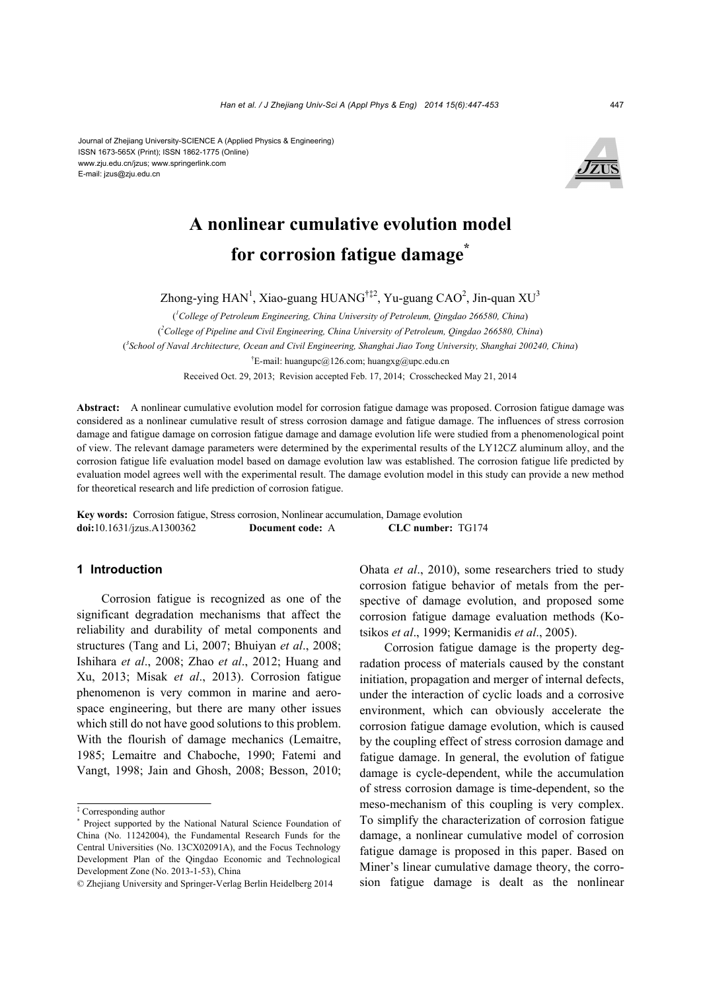#### Journal of Zhejiang University-SCIENCE A (Applied Physics & Engineering) ISSN 1673-565X (Print); ISSN 1862-1775 (Online) www.zju.edu.cn/jzus; www.springerlink.com E-mail: jzus@zju.edu.cn



# **A nonlinear cumulative evolution model for corrosion fatigue damage\***

Zhong-ying HAN<sup>1</sup>, Xiao-guang HUANG<sup>†‡2</sup>, Yu-guang CAO<sup>2</sup>, Jin-quan XU<sup>3</sup>

( *1 College of Petroleum Engineering, China University of Petroleum, Qingdao 266580, China*) ( *2 College of Pipeline and Civil Engineering, China University of Petroleum, Qingdao 266580, China*) ( *3 School of Naval Architecture, Ocean and Civil Engineering, Shanghai Jiao Tong University, Shanghai 200240, China*) † E-mail: huangupc@126.com; huangxg@upc.edu.cn Received Oct. 29, 2013; Revision accepted Feb. 17, 2014; Crosschecked May 21, 2014

**Abstract:** A nonlinear cumulative evolution model for corrosion fatigue damage was proposed. Corrosion fatigue damage was considered as a nonlinear cumulative result of stress corrosion damage and fatigue damage. The influences of stress corrosion damage and fatigue damage on corrosion fatigue damage and damage evolution life were studied from a phenomenological point of view. The relevant damage parameters were determined by the experimental results of the LY12CZ aluminum alloy, and the corrosion fatigue life evaluation model based on damage evolution law was established. The corrosion fatigue life predicted by evaluation model agrees well with the experimental result. The damage evolution model in this study can provide a new method for theoretical research and life prediction of corrosion fatigue.

**Key words:** Corrosion fatigue, Stress corrosion, Nonlinear accumulation, Damage evolution **doi:**10.1631/jzus.A1300362 **Document code:** A **CLC number:** TG174

## **1 Introduction**

Corrosion fatigue is recognized as one of the significant degradation mechanisms that affect the reliability and durability of metal components and structures (Tang and Li, 2007; Bhuiyan *et al*., 2008; Ishihara *et al*., 2008; Zhao *et al*., 2012; Huang and Xu, 2013; Misak *et al*., 2013). Corrosion fatigue phenomenon is very common in marine and aerospace engineering, but there are many other issues which still do not have good solutions to this problem. With the flourish of damage mechanics (Lemaitre, 1985; Lemaitre and Chaboche, 1990; Fatemi and Vangt, 1998; Jain and Ghosh, 2008; Besson, 2010; Ohata *et al*., 2010), some researchers tried to study corrosion fatigue behavior of metals from the perspective of damage evolution, and proposed some corrosion fatigue damage evaluation methods (Kotsikos *et al*., 1999; Kermanidis *et al*., 2005).

Corrosion fatigue damage is the property degradation process of materials caused by the constant initiation, propagation and merger of internal defects, under the interaction of cyclic loads and a corrosive environment, which can obviously accelerate the corrosion fatigue damage evolution, which is caused by the coupling effect of stress corrosion damage and fatigue damage. In general, the evolution of fatigue damage is cycle-dependent, while the accumulation of stress corrosion damage is time-dependent, so the meso-mechanism of this coupling is very complex. To simplify the characterization of corrosion fatigue damage, a nonlinear cumulative model of corrosion fatigue damage is proposed in this paper. Based on Miner's linear cumulative damage theory, the corrosion fatigue damage is dealt as the nonlinear

<sup>‡</sup> Corresponding author

<sup>\*</sup> Project supported by the National Natural Science Foundation of China (No. 11242004), the Fundamental Research Funds for the Central Universities (No. 13CX02091A), and the Focus Technology Development Plan of the Qingdao Economic and Technological Development Zone (No. 2013-1-53), China

<sup>©</sup> Zhejiang University and Springer-Verlag Berlin Heidelberg 2014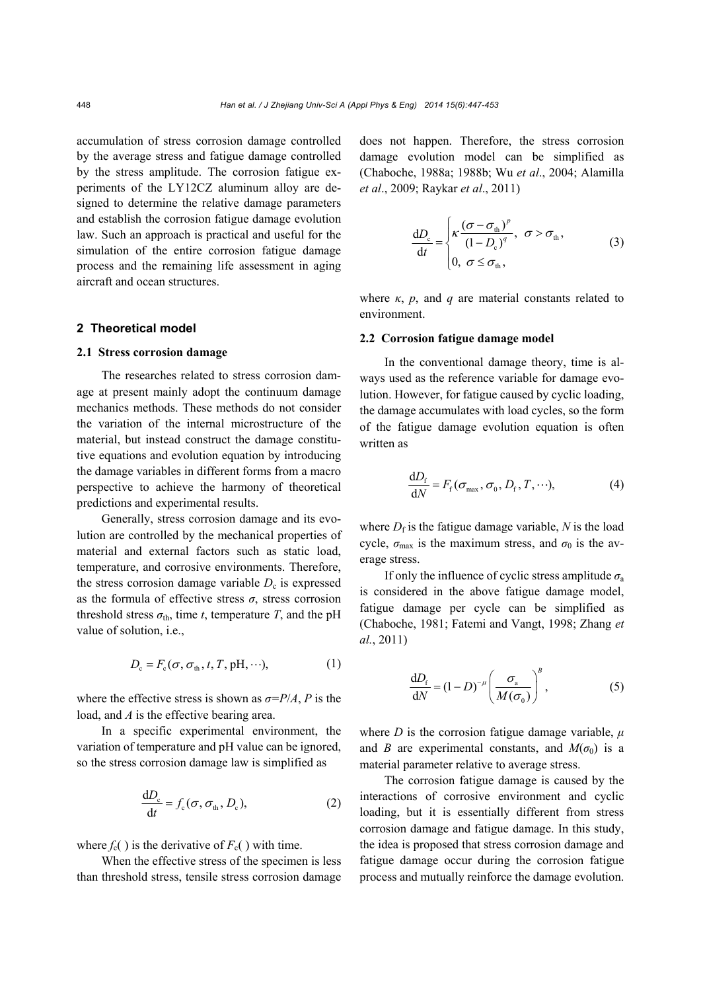accumulation of stress corrosion damage controlled by the average stress and fatigue damage controlled by the stress amplitude. The corrosion fatigue experiments of the LY12CZ aluminum alloy are designed to determine the relative damage parameters and establish the corrosion fatigue damage evolution law. Such an approach is practical and useful for the simulation of the entire corrosion fatigue damage process and the remaining life assessment in aging aircraft and ocean structures.

### **2 Theoretical model**

#### **2.1 Stress corrosion damage**

The researches related to stress corrosion damage at present mainly adopt the continuum damage mechanics methods. These methods do not consider the variation of the internal microstructure of the material, but instead construct the damage constitutive equations and evolution equation by introducing the damage variables in different forms from a macro perspective to achieve the harmony of theoretical predictions and experimental results.

Generally, stress corrosion damage and its evolution are controlled by the mechanical properties of material and external factors such as static load, temperature, and corrosive environments. Therefore, the stress corrosion damage variable  $D<sub>c</sub>$  is expressed as the formula of effective stress *σ*, stress corrosion threshold stress  $\sigma_{\text{th}}$ , time *t*, temperature *T*, and the pH value of solution, i.e.,

$$
D_{\rm c} = F_{\rm c}(\sigma, \sigma_{\rm th}, t, T, \text{pH}, \cdots), \tag{1}
$$

where the effective stress is shown as  $\sigma = P/A$ , *P* is the load, and *A* is the effective bearing area.

In a specific experimental environment, the variation of temperature and pH value can be ignored, so the stress corrosion damage law is simplified as

$$
\frac{dD_c}{dt} = f_c(\sigma, \sigma_{th}, D_c),
$$
 (2)

where  $f_c()$  is the derivative of  $F_c()$  with time.

When the effective stress of the specimen is less than threshold stress, tensile stress corrosion damage does not happen. Therefore, the stress corrosion damage evolution model can be simplified as (Chaboche, 1988a; 1988b; Wu *et al*., 2004; Alamilla *et al*., 2009; Raykar *et al*., 2011)

$$
\frac{dD_{\rm c}}{dt} = \begin{cases} \kappa \frac{(\sigma - \sigma_{\rm th})^p}{(1 - D_{\rm c})^q}, & \sigma > \sigma_{\rm th}, \\ 0, & \sigma \le \sigma_{\rm th}, \end{cases}
$$
(3)

where  $\kappa$ ,  $p$ , and  $q$  are material constants related to environment.

#### **2.2 Corrosion fatigue damage model**

In the conventional damage theory, time is always used as the reference variable for damage evolution. However, for fatigue caused by cyclic loading, the damage accumulates with load cycles, so the form of the fatigue damage evolution equation is often written as

$$
\frac{\mathrm{d}D_{\mathrm{f}}}{\mathrm{d}N} = F_{\mathrm{f}}(\sigma_{\mathrm{max}}, \sigma_{0}, D_{\mathrm{f}}, T, \cdots), \tag{4}
$$

where  $D_f$  is the fatigue damage variable,  $N$  is the load cycle,  $\sigma_{\text{max}}$  is the maximum stress, and  $\sigma_0$  is the average stress.

If only the influence of cyclic stress amplitude  $\sigma$ <sub>a</sub> is considered in the above fatigue damage model, fatigue damage per cycle can be simplified as (Chaboche, 1981; Fatemi and Vangt, 1998; Zhang *et al.*, 2011)

$$
\frac{\mathrm{d}D_{\rm f}}{\mathrm{d}N} = (1 - D)^{-\mu} \left(\frac{\sigma_{\rm a}}{M(\sigma_{\rm 0})}\right)^B, \tag{5}
$$

where *D* is the corrosion fatigue damage variable,  $\mu$ and *B* are experimental constants, and  $M(\sigma_0)$  is a material parameter relative to average stress.

The corrosion fatigue damage is caused by the interactions of corrosive environment and cyclic loading, but it is essentially different from stress corrosion damage and fatigue damage. In this study, the idea is proposed that stress corrosion damage and fatigue damage occur during the corrosion fatigue process and mutually reinforce the damage evolution.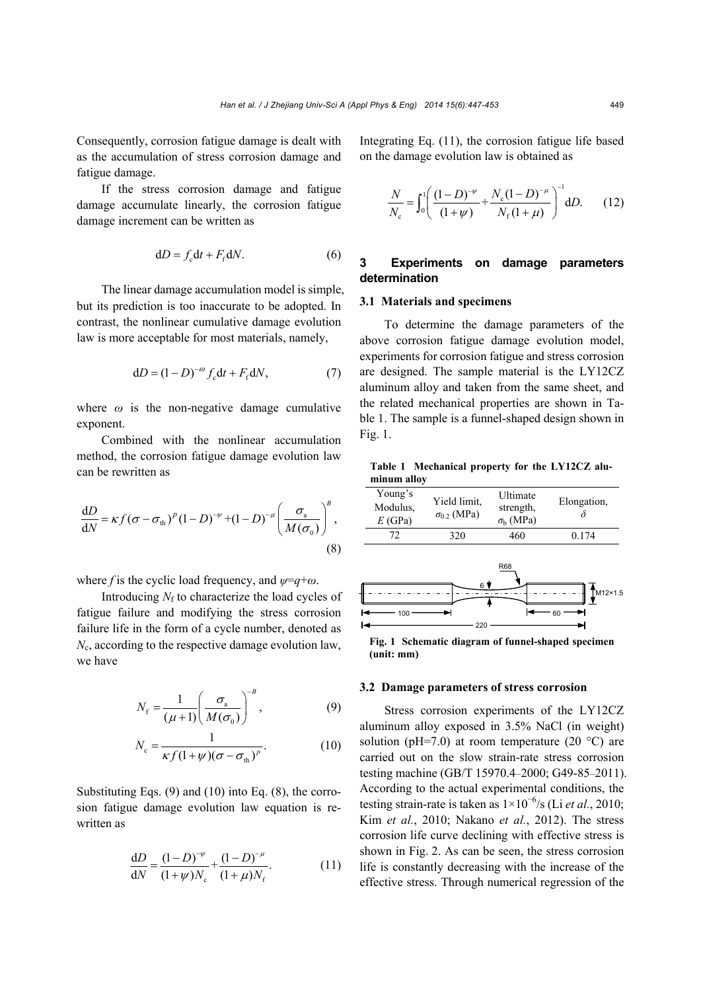Consequently, corrosion fatigue damage is dealt with as the accumulation of stress corrosion damage and fatigue damage.

If the stress corrosion damage and fatigue damage accumulate linearly, the corrosion fatigue damage increment can be written as

$$
dD = fc dt + Ff dN.
$$
 (6)

The linear damage accumulation model is simple, but its prediction is too inaccurate to be adopted. In contrast, the nonlinear cumulative damage evolution law is more acceptable for most materials, namely,

$$
dD = (1 - D)^{-\omega} f_{\rm c} dt + F_{\rm f} dN, \qquad (7)
$$

where  $\omega$  is the non-negative damage cumulative exponent.

Combined with the nonlinear accumulation method, the corrosion fatigue damage evolution law can be rewritten as

$$
\frac{dD}{dN} = \kappa f (\sigma - \sigma_{\text{th}})^p (1 - D)^{-\nu} + (1 - D)^{-\mu} \left( \frac{\sigma_{\text{a}}}{M(\sigma_{\text{0}})} \right)^B,
$$
\n(8)

where *f* is the cyclic load frequency, and *ψ*=*q*+*ω*.

Introducing  $N_f$  to characterize the load cycles of fatigue failure and modifying the stress corrosion failure life in the form of a cycle number, denoted as *N*c, according to the respective damage evolution law, we have

$$
N_{\rm f} = \frac{1}{(\mu + 1)} \left( \frac{\sigma_{\rm a}}{M(\sigma_{\rm 0})} \right)^{-B},\tag{9}
$$

$$
N_{\rm c} = \frac{1}{\kappa f (1 + \psi)(\sigma - \sigma_{\rm th})^p}.\tag{10}
$$

Substituting Eqs. (9) and (10) into Eq. (8), the corrosion fatigue damage evolution law equation is rewritten as

$$
\frac{dD}{dN} = \frac{(1 - D)^{-\nu}}{(1 + \psi)N_c} + \frac{(1 - D)^{-\mu}}{(1 + \mu)N_f}.
$$
 (11)

Integrating Eq. (11), the corrosion fatigue life based on the damage evolution law is obtained as

$$
\frac{N}{N_{\rm c}} = \int_0^1 \left( \frac{(1-D)^{-\nu}}{(1+\nu)} + \frac{N_{\rm c}(1-D)^{-\mu}}{N_{\rm f}(1+\mu)} \right)^{-1} dD. \tag{12}
$$

# **3 Experiments on damage parameters determination**

# **3.1 Materials and specimens**

To determine the damage parameters of the above corrosion fatigue damage evolution model, experiments for corrosion fatigue and stress corrosion are designed. The sample material is the LY12CZ aluminum alloy and taken from the same sheet, and the related mechanical properties are shown in Table 1. The sample is a funnel-shaped design shown in Fig. 1.

**Table 1 Mechanical property for the LY12CZ aluminum alloy** 



**Fig. 1 Schematic diagram of funnel-shaped specimen (unit: mm)**

### **3.2 Damage parameters of stress corrosion**

Stress corrosion experiments of the LY12CZ aluminum alloy exposed in 3.5% NaCl (in weight) solution (pH=7.0) at room temperature (20  $^{\circ}$ C) are carried out on the slow strain-rate stress corrosion testing machine (GB/T 15970.4–2000; G49-85–2011). According to the actual experimental conditions, the testing strain-rate is taken as  $1 \times 10^{-6}$ /s (Li *et al.*, 2010; Kim *et al.*, 2010; Nakano *et al.*, 2012). The stress corrosion life curve declining with effective stress is shown in Fig. 2. As can be seen, the stress corrosion life is constantly decreasing with the increase of the effective stress. Through numerical regression of the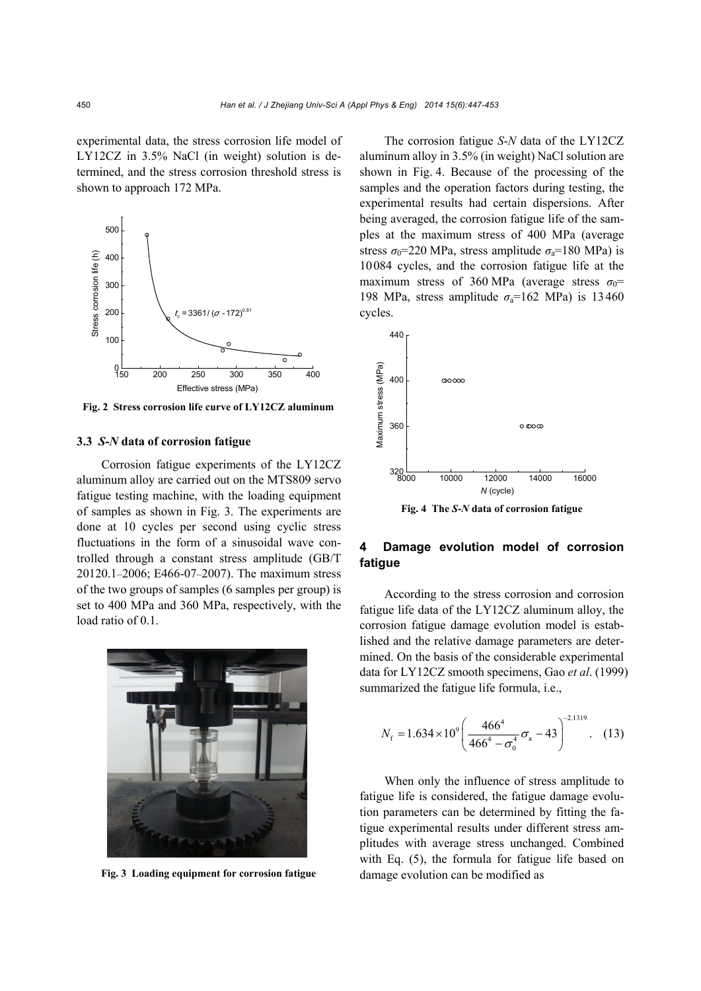experimental data, the stress corrosion life model of LY12CZ in 3.5% NaCl (in weight) solution is determined, and the stress corrosion threshold stress is shown to approach 172 MPa.



**Fig. 2 Stress corrosion life curve of LY12CZ aluminum**

#### **3.3** *S***-***N* **data of corrosion fatigue**

Corrosion fatigue experiments of the LY12CZ aluminum alloy are carried out on the MTS809 servo fatigue testing machine, with the loading equipment of samples as shown in Fig. 3. The experiments are done at 10 cycles per second using cyclic stress fluctuations in the form of a sinusoidal wave controlled through a constant stress amplitude (GB/T 20120.1–2006; E466-07–2007). The maximum stress of the two groups of samples (6 samples per group) is set to 400 MPa and 360 MPa, respectively, with the load ratio of 0.1.



**Fig. 3 Loading equipment for corrosion fatigue** damage evolution can be modified as

The corrosion fatigue *S*-*N* data of the LY12CZ aluminum alloy in 3.5% (in weight) NaCl solution are shown in Fig. 4. Because of the processing of the samples and the operation factors during testing, the experimental results had certain dispersions. After being averaged, the corrosion fatigue life of the samples at the maximum stress of 400 MPa (average stress  $\sigma_0$ =220 MPa, stress amplitude  $\sigma_a$ =180 MPa) is 10084 cycles, and the corrosion fatigue life at the maximum stress of 360 MPa (average stress  $\sigma_0$ = 198 MPa, stress amplitude  $\sigma_a$ =162 MPa) is 13460 cycles.



**Fig. 4 The** *S***-***N* **data of corrosion fatigue** 

# **4 Damage evolution model of corrosion fatigue**

According to the stress corrosion and corrosion fatigue life data of the LY12CZ aluminum alloy, the corrosion fatigue damage evolution model is established and the relative damage parameters are determined. On the basis of the considerable experimental data for LY12CZ smooth specimens, Gao *et al*. (1999) summarized the fatigue life formula, i.e.,

$$
N_{\rm f} = 1.634 \times 10^9 \left( \frac{466^4}{466^4 - \sigma_0^4} \sigma_{\rm a} - 43 \right)^{-2.1319} . \quad (13)
$$

When only the influence of stress amplitude to fatigue life is considered, the fatigue damage evolution parameters can be determined by fitting the fatigue experimental results under different stress amplitudes with average stress unchanged. Combined with Eq. (5), the formula for fatigue life based on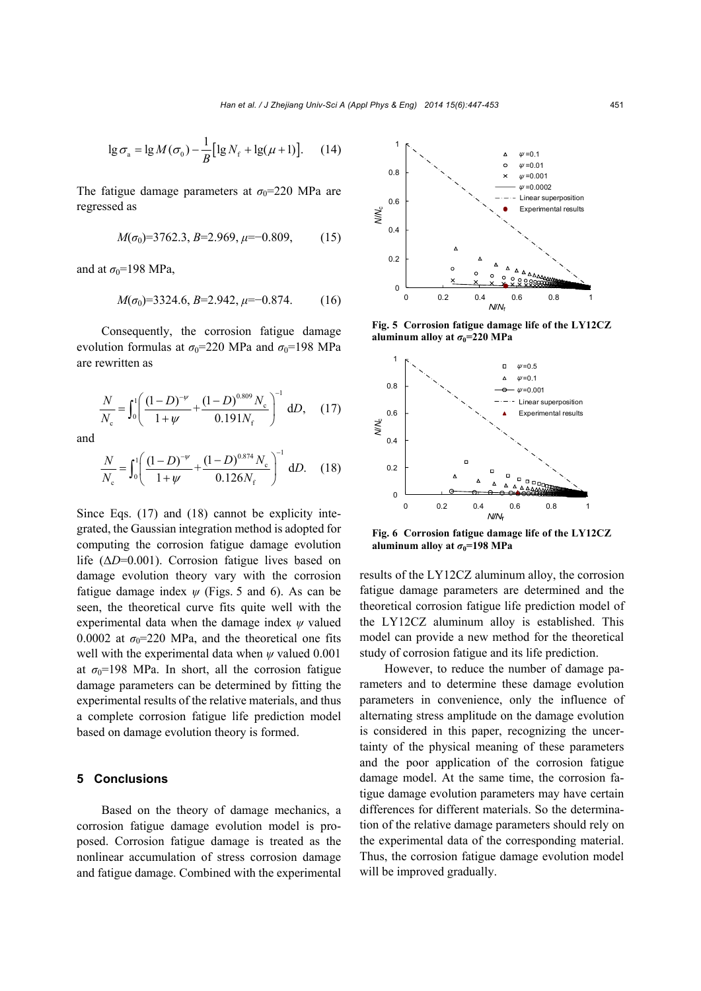$$
\lg \sigma_{\rm a} = \lg M(\sigma_0) - \frac{1}{B} \big[ \lg N_{\rm f} + \lg(\mu + 1) \big]. \tag{14}
$$

The fatigue damage parameters at  $\sigma_0$ =220 MPa are regressed as

$$
M(\sigma_0)=3762.3, B=2.969, \mu=-0.809, \qquad (15)
$$

and at  $\sigma_0$ =198 MPa,

$$
M(\sigma_0) = 3324.6, B = 2.942, \mu = -0.874. \tag{16}
$$

Consequently, the corrosion fatigue damage evolution formulas at  $\sigma_0$ =220 MPa and  $\sigma_0$ =198 MPa are rewritten as

$$
\frac{N}{N_{\rm c}} = \int_0^1 \left( \frac{(1-D)^{-\nu}}{1+\nu} + \frac{(1-D)^{0.809} N_{\rm c}}{0.191 N_{\rm f}} \right)^{-1} dD, \quad (17)
$$

and

$$
\frac{N}{N_{\rm c}} = \int_0^1 \left( \frac{(1-D)^{-\nu}}{1+\nu} + \frac{(1-D)^{0.874} N_{\rm c}}{0.126 N_{\rm f}} \right)^{-1} dD. \tag{18}
$$

Since Eqs. (17) and (18) cannot be explicity integrated, the Gaussian integration method is adopted for computing the corrosion fatigue damage evolution life (Δ*D*=0.001). Corrosion fatigue lives based on damage evolution theory vary with the corrosion fatigue damage index  $\psi$  (Figs. 5 and 6). As can be seen, the theoretical curve fits quite well with the experimental data when the damage index *ψ* valued 0.0002 at  $\sigma_0$ =220 MPa, and the theoretical one fits well with the experimental data when *ψ* valued 0.001 at  $\sigma_0$ =198 MPa. In short, all the corrosion fatigue damage parameters can be determined by fitting the experimental results of the relative materials, and thus a complete corrosion fatigue life prediction model based on damage evolution theory is formed.

#### **5 Conclusions**

Based on the theory of damage mechanics, a corrosion fatigue damage evolution model is proposed. Corrosion fatigue damage is treated as the nonlinear accumulation of stress corrosion damage and fatigue damage. Combined with the experimental



**Fig. 5 Corrosion fatigue damage life of the LY12CZ aluminum alloy at**  $\sigma_0 = 220 \text{ MPa}$ 



**Fig. 6 Corrosion fatigue damage life of the LY12CZ aluminum alloy at**  $\sigma_0$ **=198 MPa** 

results of the LY12CZ aluminum alloy, the corrosion fatigue damage parameters are determined and the theoretical corrosion fatigue life prediction model of the LY12CZ aluminum alloy is established. This model can provide a new method for the theoretical study of corrosion fatigue and its life prediction.

However, to reduce the number of damage parameters and to determine these damage evolution parameters in convenience, only the influence of alternating stress amplitude on the damage evolution is considered in this paper, recognizing the uncertainty of the physical meaning of these parameters and the poor application of the corrosion fatigue damage model. At the same time, the corrosion fatigue damage evolution parameters may have certain differences for different materials. So the determination of the relative damage parameters should rely on the experimental data of the corresponding material. Thus, the corrosion fatigue damage evolution model will be improved gradually.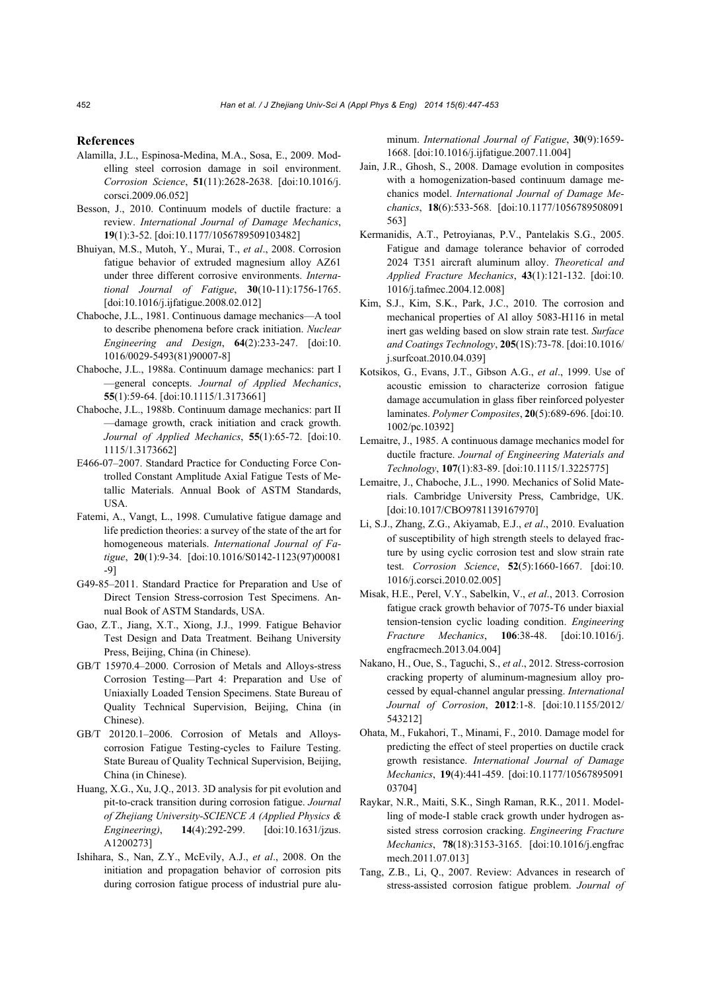#### **References**

- Alamilla, J.L., Espinosa-Medina, M.A., Sosa, E., 2009. Modelling steel corrosion damage in soil environment. *Corrosion Science*, **51**(11):2628-2638. [doi:10.1016/j. corsci.2009.06.052]
- Besson, J., 2010. Continuum models of ductile fracture: a review. *International Journal of Damage Mechanics*, **19**(1):3-52. [doi:10.1177/1056789509103482]
- Bhuiyan, M.S., Mutoh, Y., Murai, T., *et al*., 2008. Corrosion fatigue behavior of extruded magnesium alloy AZ61 under three different corrosive environments. *International Journal of Fatigue*, **30**(10-11):1756-1765. [doi:10.1016/j.ijfatigue.2008.02.012]
- Chaboche, J.L., 1981. Continuous damage mechanics—A tool to describe phenomena before crack initiation. *Nuclear Engineering and Design*, **64**(2):233-247. [doi:10. 1016/0029-5493(81)90007-8]
- Chaboche, J.L., 1988a. Continuum damage mechanics: part I —general concepts. *Journal of Applied Mechanics*, **55**(1):59-64. [doi:10.1115/1.3173661]
- Chaboche, J.L., 1988b. Continuum damage mechanics: part II —damage growth, crack initiation and crack growth. *Journal of Applied Mechanics*, **55**(1):65-72. [doi:10. 1115/1.3173662]
- E466-07–2007. Standard Practice for Conducting Force Controlled Constant Amplitude Axial Fatigue Tests of Metallic Materials. Annual Book of ASTM Standards, USA.
- Fatemi, A., Vangt, L., 1998. Cumulative fatigue damage and life prediction theories: a survey of the state of the art for homogeneous materials. *International Journal of Fatigue*, **20**(1):9-34. [doi:10.1016/S0142-1123(97)00081 -9]
- G49-85–2011. Standard Practice for Preparation and Use of Direct Tension Stress-corrosion Test Specimens. Annual Book of ASTM Standards, USA.
- Gao, Z.T., Jiang, X.T., Xiong, J.J., 1999. Fatigue Behavior Test Design and Data Treatment. Beihang University Press, Beijing, China (in Chinese).
- GB/T 15970.4–2000. Corrosion of Metals and Alloys-stress Corrosion Testing—Part 4: Preparation and Use of Uniaxially Loaded Tension Specimens. State Bureau of Quality Technical Supervision, Beijing, China (in Chinese).
- GB/T 20120.1–2006. Corrosion of Metals and Alloyscorrosion Fatigue Testing-cycles to Failure Testing. State Bureau of Quality Technical Supervision, Beijing, China (in Chinese).
- Huang, X.G., Xu, J.Q., 2013. 3D analysis for pit evolution and pit-to-crack transition during corrosion fatigue. *Journal of Zhejiang University-SCIENCE A (Applied Physics & Engineering)*, **14**(4):292-299. [doi:10.1631/jzus. A1200273]
- Ishihara, S., Nan, Z.Y., McEvily, A.J., *et al*., 2008. On the initiation and propagation behavior of corrosion pits during corrosion fatigue process of industrial pure alu-

minum. *International Journal of Fatigue*, **30**(9):1659- 1668. [doi:10.1016/j.ijfatigue.2007.11.004]

- Jain, J.R., Ghosh, S., 2008. Damage evolution in composites with a homogenization-based continuum damage mechanics model. *International Journal of Damage Mechanics*, **18**(6):533-568. [doi:10.1177/1056789508091 563]
- Kermanidis, A.T., Petroyianas, P.V., Pantelakis S.G., 2005. Fatigue and damage tolerance behavior of corroded 2024 T351 aircraft aluminum alloy. *Theoretical and Applied Fracture Mechanics*, **43**(1):121-132. [doi:10. 1016/j.tafmec.2004.12.008]
- Kim, S.J., Kim, S.K., Park, J.C., 2010. The corrosion and mechanical properties of Al alloy 5083-H116 in metal inert gas welding based on slow strain rate test. *Surface and Coatings Technology*, **205**(1S):73-78. [doi:10.1016/ j.surfcoat.2010.04.039]
- Kotsikos, G., Evans, J.T., Gibson A.G., *et al*., 1999. Use of acoustic emission to characterize corrosion fatigue damage accumulation in glass fiber reinforced polyester laminates. *Polymer Composites*, **20**(5):689-696. [doi:10. 1002/pc.10392]
- Lemaitre, J., 1985. A continuous damage mechanics model for ductile fracture. *Journal of Engineering Materials and Technology*, **107**(1):83-89. [doi:10.1115/1.3225775]
- Lemaitre, J., Chaboche, J.L., 1990. Mechanics of Solid Materials. Cambridge University Press, Cambridge, UK. [doi:10.1017/CBO9781139167970]
- Li, S.J., Zhang, Z.G., Akiyamab, E.J., *et al*., 2010. Evaluation of susceptibility of high strength steels to delayed fracture by using cyclic corrosion test and slow strain rate test. *Corrosion Science*, **52**(5):1660-1667. [doi:10. 1016/j.corsci.2010.02.005]
- Misak, H.E., Perel, V.Y., Sabelkin, V., *et al*., 2013. Corrosion fatigue crack growth behavior of 7075-T6 under biaxial tension-tension cyclic loading condition. *Engineering Fracture Mechanics*, **106**:38-48. [doi:10.1016/j. engfracmech.2013.04.004]
- Nakano, H., Oue, S., Taguchi, S., *et al*., 2012. Stress-corrosion cracking property of aluminum-magnesium alloy processed by equal-channel angular pressing. *International Journal of Corrosion*, **2012**:1-8. [doi:10.1155/2012/ 543212]
- Ohata, M., Fukahori, T., Minami, F., 2010. Damage model for predicting the effect of steel properties on ductile crack growth resistance. *International Journal of Damage Mechanics*, **19**(4):441-459. [doi:10.1177/10567895091 03704]
- Raykar, N.R., Maiti, S.K., Singh Raman, R.K., 2011. Modelling of mode-I stable crack growth under hydrogen assisted stress corrosion cracking. *Engineering Fracture Mechanics*, **78**(18):3153-3165. [doi:10.1016/j.engfrac mech.2011.07.013]
- Tang, Z.B., Li, Q., 2007. Review: Advances in research of stress-assisted corrosion fatigue problem. *Journal of*